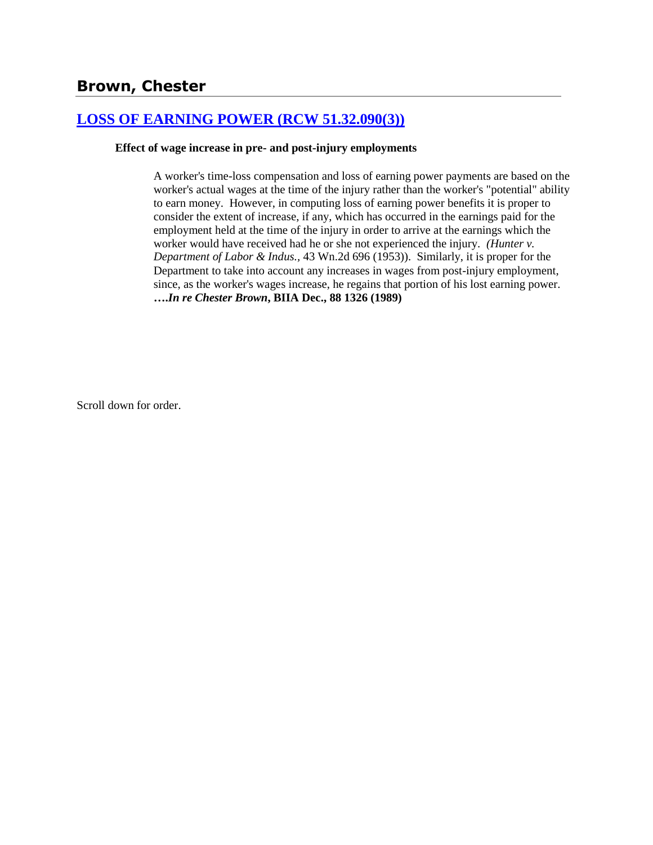# **[LOSS OF EARNING POWER \(RCW 51.32.090\(3\)\)](http://www.biia.wa.gov/SDSubjectIndex.html#LOSS_OF_EARNING_POWER)**

### **Effect of wage increase in pre- and post-injury employments**

A worker's time-loss compensation and loss of earning power payments are based on the worker's actual wages at the time of the injury rather than the worker's "potential" ability to earn money. However, in computing loss of earning power benefits it is proper to consider the extent of increase, if any, which has occurred in the earnings paid for the employment held at the time of the injury in order to arrive at the earnings which the worker would have received had he or she not experienced the injury*. (Hunter v. Department of Labor & Indus.,* 43 Wn.2d 696 (1953)). Similarly, it is proper for the Department to take into account any increases in wages from post-injury employment, since, as the worker's wages increase, he regains that portion of his lost earning power. **….***In re Chester Brown***, BIIA Dec., 88 1326 (1989)** 

Scroll down for order.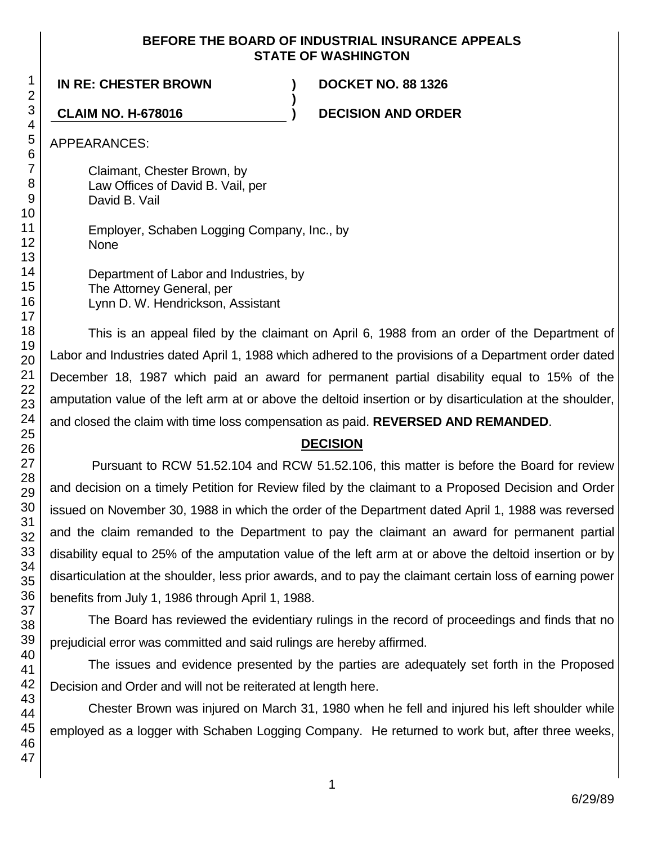### **BEFORE THE BOARD OF INDUSTRIAL INSURANCE APPEALS STATE OF WASHINGTON**

**)**

### **IN RE: CHESTER BROWN ) DOCKET NO. 88 1326**

**CLAIM NO. H-678016 ) DECISION AND ORDER**

APPEARANCES:

Claimant, Chester Brown, by Law Offices of David B. Vail, per David B. Vail

Employer, Schaben Logging Company, Inc., by None

Department of Labor and Industries, by The Attorney General, per Lynn D. W. Hendrickson, Assistant

This is an appeal filed by the claimant on April 6, 1988 from an order of the Department of Labor and Industries dated April 1, 1988 which adhered to the provisions of a Department order dated December 18, 1987 which paid an award for permanent partial disability equal to 15% of the amputation value of the left arm at or above the deltoid insertion or by disarticulation at the shoulder, and closed the claim with time loss compensation as paid. **REVERSED AND REMANDED**.

# **DECISION**

Pursuant to RCW 51.52.104 and RCW 51.52.106, this matter is before the Board for review and decision on a timely Petition for Review filed by the claimant to a Proposed Decision and Order issued on November 30, 1988 in which the order of the Department dated April 1, 1988 was reversed and the claim remanded to the Department to pay the claimant an award for permanent partial disability equal to 25% of the amputation value of the left arm at or above the deltoid insertion or by disarticulation at the shoulder, less prior awards, and to pay the claimant certain loss of earning power benefits from July 1, 1986 through April 1, 1988.

The Board has reviewed the evidentiary rulings in the record of proceedings and finds that no prejudicial error was committed and said rulings are hereby affirmed.

The issues and evidence presented by the parties are adequately set forth in the Proposed Decision and Order and will not be reiterated at length here.

Chester Brown was injured on March 31, 1980 when he fell and injured his left shoulder while employed as a logger with Schaben Logging Company. He returned to work but, after three weeks,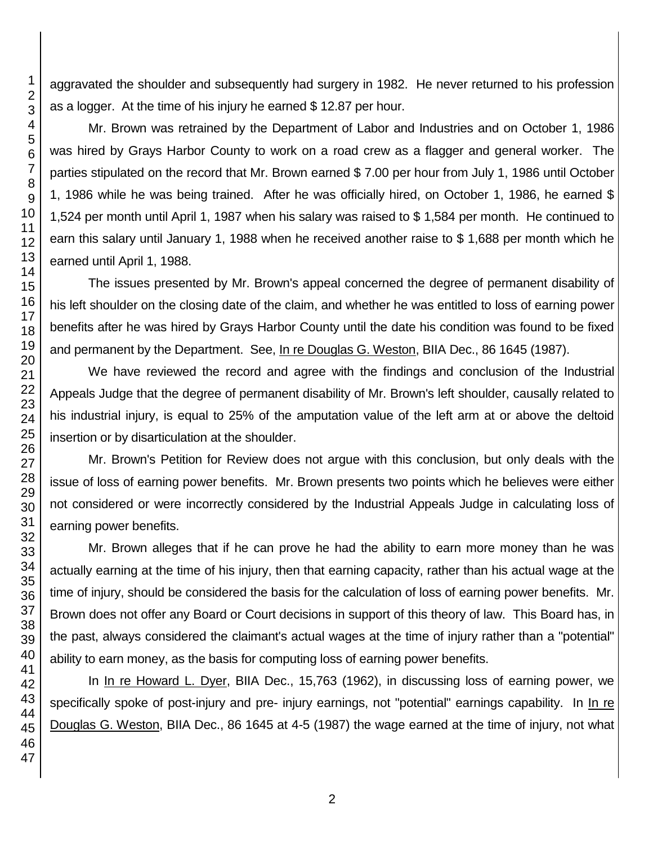aggravated the shoulder and subsequently had surgery in 1982. He never returned to his profession as a logger. At the time of his injury he earned \$ 12.87 per hour.

Mr. Brown was retrained by the Department of Labor and Industries and on October 1, 1986 was hired by Grays Harbor County to work on a road crew as a flagger and general worker. The parties stipulated on the record that Mr. Brown earned \$ 7.00 per hour from July 1, 1986 until October 1, 1986 while he was being trained. After he was officially hired, on October 1, 1986, he earned \$ 1,524 per month until April 1, 1987 when his salary was raised to \$ 1,584 per month. He continued to earn this salary until January 1, 1988 when he received another raise to \$ 1,688 per month which he earned until April 1, 1988.

The issues presented by Mr. Brown's appeal concerned the degree of permanent disability of his left shoulder on the closing date of the claim, and whether he was entitled to loss of earning power benefits after he was hired by Grays Harbor County until the date his condition was found to be fixed and permanent by the Department. See, In re Douglas G. Weston, BIIA Dec., 86 1645 (1987).

We have reviewed the record and agree with the findings and conclusion of the Industrial Appeals Judge that the degree of permanent disability of Mr. Brown's left shoulder, causally related to his industrial injury, is equal to 25% of the amputation value of the left arm at or above the deltoid insertion or by disarticulation at the shoulder.

Mr. Brown's Petition for Review does not argue with this conclusion, but only deals with the issue of loss of earning power benefits. Mr. Brown presents two points which he believes were either not considered or were incorrectly considered by the Industrial Appeals Judge in calculating loss of earning power benefits.

Mr. Brown alleges that if he can prove he had the ability to earn more money than he was actually earning at the time of his injury, then that earning capacity, rather than his actual wage at the time of injury, should be considered the basis for the calculation of loss of earning power benefits. Mr. Brown does not offer any Board or Court decisions in support of this theory of law. This Board has, in the past, always considered the claimant's actual wages at the time of injury rather than a "potential" ability to earn money, as the basis for computing loss of earning power benefits.

In In re Howard L. Dyer, BIIA Dec., 15,763 (1962), in discussing loss of earning power, we specifically spoke of post-injury and pre- injury earnings, not "potential" earnings capability. In In re Douglas G. Weston, BIIA Dec., 86 1645 at 4-5 (1987) the wage earned at the time of injury, not what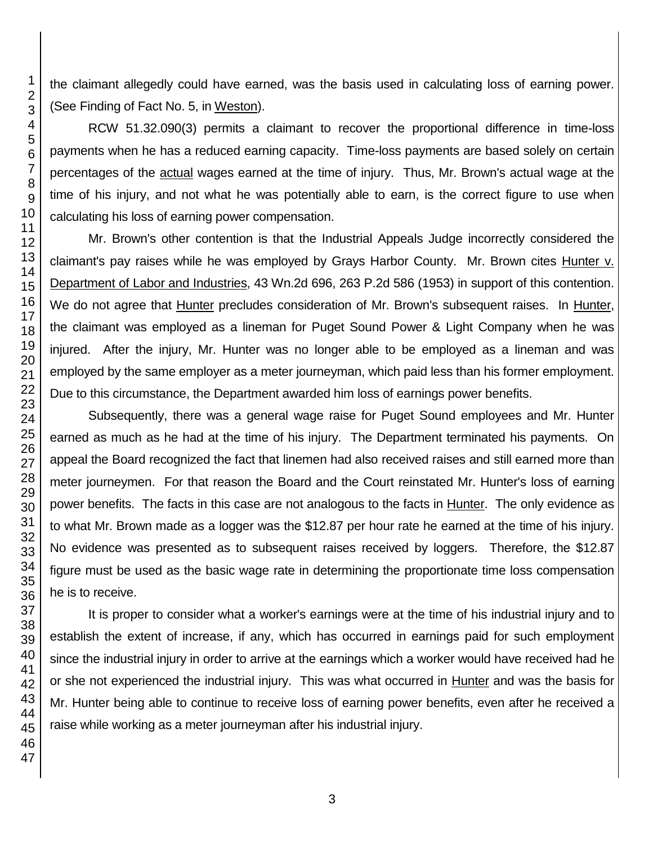the claimant allegedly could have earned, was the basis used in calculating loss of earning power. (See Finding of Fact No. 5, in Weston).

RCW 51.32.090(3) permits a claimant to recover the proportional difference in time-loss payments when he has a reduced earning capacity. Time-loss payments are based solely on certain percentages of the actual wages earned at the time of injury. Thus, Mr. Brown's actual wage at the time of his injury, and not what he was potentially able to earn, is the correct figure to use when calculating his loss of earning power compensation.

Mr. Brown's other contention is that the Industrial Appeals Judge incorrectly considered the claimant's pay raises while he was employed by Grays Harbor County. Mr. Brown cites Hunter v. Department of Labor and Industries, 43 Wn.2d 696, 263 P.2d 586 (1953) in support of this contention. We do not agree that Hunter precludes consideration of Mr. Brown's subsequent raises. In Hunter, the claimant was employed as a lineman for Puget Sound Power & Light Company when he was injured. After the injury, Mr. Hunter was no longer able to be employed as a lineman and was employed by the same employer as a meter journeyman, which paid less than his former employment. Due to this circumstance, the Department awarded him loss of earnings power benefits.

Subsequently, there was a general wage raise for Puget Sound employees and Mr. Hunter earned as much as he had at the time of his injury. The Department terminated his payments. On appeal the Board recognized the fact that linemen had also received raises and still earned more than meter journeymen. For that reason the Board and the Court reinstated Mr. Hunter's loss of earning power benefits. The facts in this case are not analogous to the facts in Hunter. The only evidence as to what Mr. Brown made as a logger was the \$12.87 per hour rate he earned at the time of his injury. No evidence was presented as to subsequent raises received by loggers. Therefore, the \$12.87 figure must be used as the basic wage rate in determining the proportionate time loss compensation he is to receive.

It is proper to consider what a worker's earnings were at the time of his industrial injury and to establish the extent of increase, if any, which has occurred in earnings paid for such employment since the industrial injury in order to arrive at the earnings which a worker would have received had he or she not experienced the industrial injury. This was what occurred in Hunter and was the basis for Mr. Hunter being able to continue to receive loss of earning power benefits, even after he received a raise while working as a meter journeyman after his industrial injury.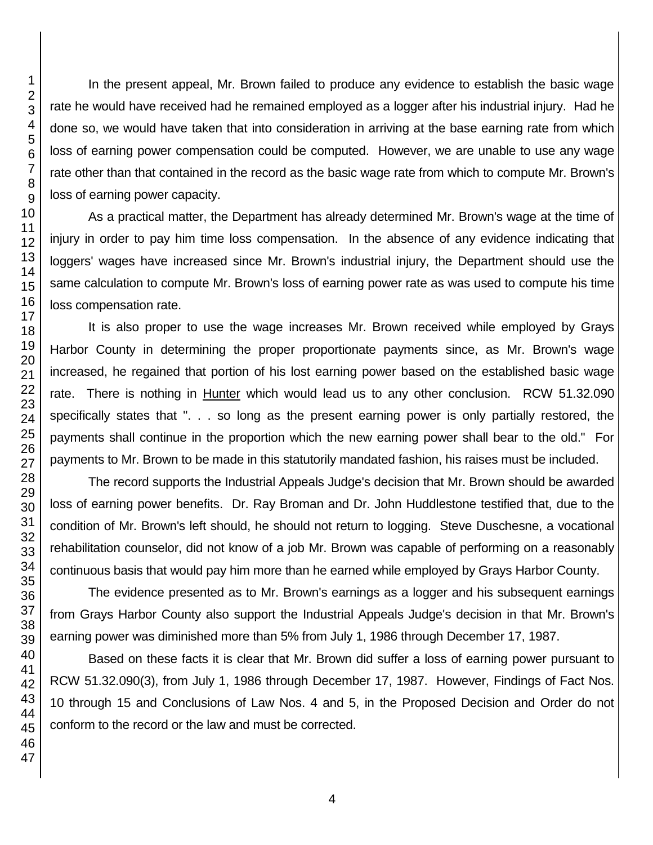In the present appeal, Mr. Brown failed to produce any evidence to establish the basic wage rate he would have received had he remained employed as a logger after his industrial injury. Had he done so, we would have taken that into consideration in arriving at the base earning rate from which loss of earning power compensation could be computed. However, we are unable to use any wage rate other than that contained in the record as the basic wage rate from which to compute Mr. Brown's loss of earning power capacity.

As a practical matter, the Department has already determined Mr. Brown's wage at the time of injury in order to pay him time loss compensation. In the absence of any evidence indicating that loggers' wages have increased since Mr. Brown's industrial injury, the Department should use the same calculation to compute Mr. Brown's loss of earning power rate as was used to compute his time loss compensation rate.

It is also proper to use the wage increases Mr. Brown received while employed by Grays Harbor County in determining the proper proportionate payments since, as Mr. Brown's wage increased, he regained that portion of his lost earning power based on the established basic wage rate. There is nothing in Hunter which would lead us to any other conclusion. RCW 51.32.090 specifically states that ". . . so long as the present earning power is only partially restored, the payments shall continue in the proportion which the new earning power shall bear to the old." For payments to Mr. Brown to be made in this statutorily mandated fashion, his raises must be included.

The record supports the Industrial Appeals Judge's decision that Mr. Brown should be awarded loss of earning power benefits. Dr. Ray Broman and Dr. John Huddlestone testified that, due to the condition of Mr. Brown's left should, he should not return to logging. Steve Duschesne, a vocational rehabilitation counselor, did not know of a job Mr. Brown was capable of performing on a reasonably continuous basis that would pay him more than he earned while employed by Grays Harbor County.

The evidence presented as to Mr. Brown's earnings as a logger and his subsequent earnings from Grays Harbor County also support the Industrial Appeals Judge's decision in that Mr. Brown's earning power was diminished more than 5% from July 1, 1986 through December 17, 1987.

Based on these facts it is clear that Mr. Brown did suffer a loss of earning power pursuant to RCW 51.32.090(3), from July 1, 1986 through December 17, 1987. However, Findings of Fact Nos. 10 through 15 and Conclusions of Law Nos. 4 and 5, in the Proposed Decision and Order do not conform to the record or the law and must be corrected.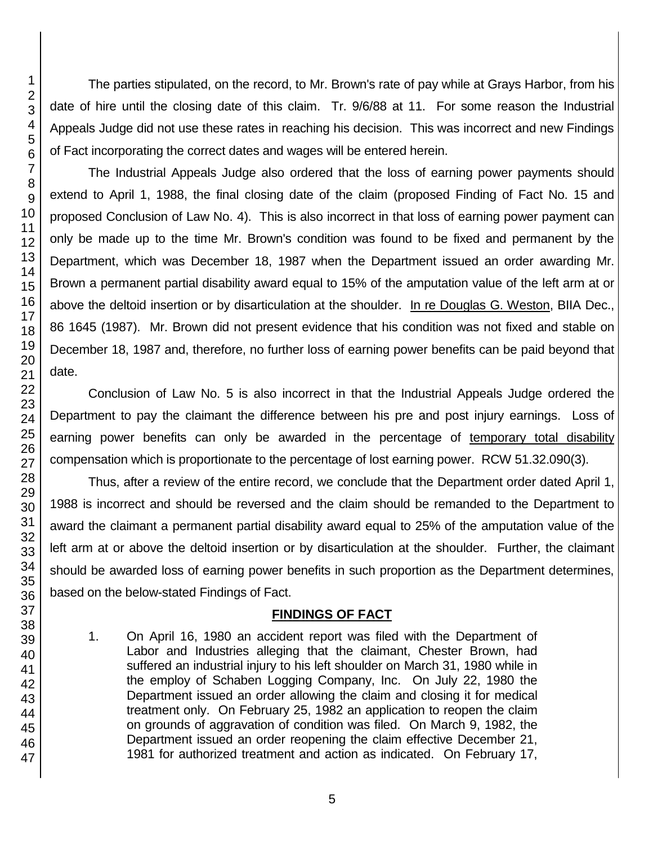The parties stipulated, on the record, to Mr. Brown's rate of pay while at Grays Harbor, from his date of hire until the closing date of this claim. Tr. 9/6/88 at 11. For some reason the Industrial Appeals Judge did not use these rates in reaching his decision. This was incorrect and new Findings of Fact incorporating the correct dates and wages will be entered herein.

The Industrial Appeals Judge also ordered that the loss of earning power payments should extend to April 1, 1988, the final closing date of the claim (proposed Finding of Fact No. 15 and proposed Conclusion of Law No. 4). This is also incorrect in that loss of earning power payment can only be made up to the time Mr. Brown's condition was found to be fixed and permanent by the Department, which was December 18, 1987 when the Department issued an order awarding Mr. Brown a permanent partial disability award equal to 15% of the amputation value of the left arm at or above the deltoid insertion or by disarticulation at the shoulder. In re Douglas G. Weston, BIIA Dec., 86 1645 (1987). Mr. Brown did not present evidence that his condition was not fixed and stable on December 18, 1987 and, therefore, no further loss of earning power benefits can be paid beyond that date.

Conclusion of Law No. 5 is also incorrect in that the Industrial Appeals Judge ordered the Department to pay the claimant the difference between his pre and post injury earnings. Loss of earning power benefits can only be awarded in the percentage of temporary total disability compensation which is proportionate to the percentage of lost earning power. RCW 51.32.090(3).

Thus, after a review of the entire record, we conclude that the Department order dated April 1, 1988 is incorrect and should be reversed and the claim should be remanded to the Department to award the claimant a permanent partial disability award equal to 25% of the amputation value of the left arm at or above the deltoid insertion or by disarticulation at the shoulder. Further, the claimant should be awarded loss of earning power benefits in such proportion as the Department determines, based on the below-stated Findings of Fact.

# **FINDINGS OF FACT**

1. On April 16, 1980 an accident report was filed with the Department of Labor and Industries alleging that the claimant, Chester Brown, had suffered an industrial injury to his left shoulder on March 31, 1980 while in the employ of Schaben Logging Company, Inc. On July 22, 1980 the Department issued an order allowing the claim and closing it for medical treatment only. On February 25, 1982 an application to reopen the claim on grounds of aggravation of condition was filed. On March 9, 1982, the Department issued an order reopening the claim effective December 21, 1981 for authorized treatment and action as indicated. On February 17,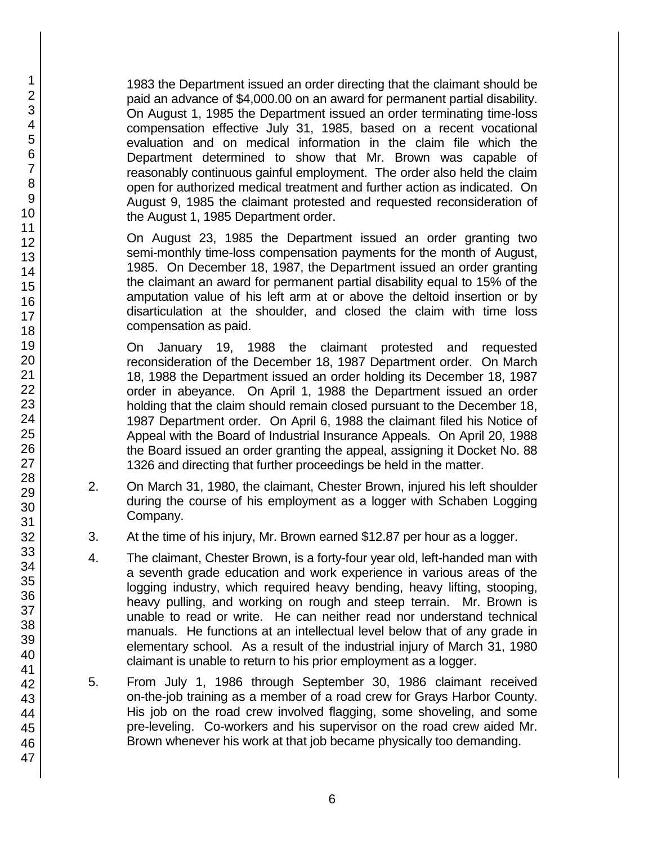1983 the Department issued an order directing that the claimant should be paid an advance of \$4,000.00 on an award for permanent partial disability. On August 1, 1985 the Department issued an order terminating time-loss compensation effective July 31, 1985, based on a recent vocational evaluation and on medical information in the claim file which the Department determined to show that Mr. Brown was capable of reasonably continuous gainful employment. The order also held the claim open for authorized medical treatment and further action as indicated. On August 9, 1985 the claimant protested and requested reconsideration of the August 1, 1985 Department order.

On August 23, 1985 the Department issued an order granting two semi-monthly time-loss compensation payments for the month of August, 1985. On December 18, 1987, the Department issued an order granting the claimant an award for permanent partial disability equal to 15% of the amputation value of his left arm at or above the deltoid insertion or by disarticulation at the shoulder, and closed the claim with time loss compensation as paid.

On January 19, 1988 the claimant protested and requested reconsideration of the December 18, 1987 Department order. On March 18, 1988 the Department issued an order holding its December 18, 1987 order in abeyance. On April 1, 1988 the Department issued an order holding that the claim should remain closed pursuant to the December 18, 1987 Department order. On April 6, 1988 the claimant filed his Notice of Appeal with the Board of Industrial Insurance Appeals. On April 20, 1988 the Board issued an order granting the appeal, assigning it Docket No. 88 1326 and directing that further proceedings be held in the matter.

- 2. On March 31, 1980, the claimant, Chester Brown, injured his left shoulder during the course of his employment as a logger with Schaben Logging Company.
- 3. At the time of his injury, Mr. Brown earned \$12.87 per hour as a logger.
- 4. The claimant, Chester Brown, is a forty-four year old, left-handed man with a seventh grade education and work experience in various areas of the logging industry, which required heavy bending, heavy lifting, stooping, heavy pulling, and working on rough and steep terrain. Mr. Brown is unable to read or write. He can neither read nor understand technical manuals. He functions at an intellectual level below that of any grade in elementary school. As a result of the industrial injury of March 31, 1980 claimant is unable to return to his prior employment as a logger.
- 5. From July 1, 1986 through September 30, 1986 claimant received on-the-job training as a member of a road crew for Grays Harbor County. His job on the road crew involved flagging, some shoveling, and some pre-leveling. Co-workers and his supervisor on the road crew aided Mr. Brown whenever his work at that job became physically too demanding.

47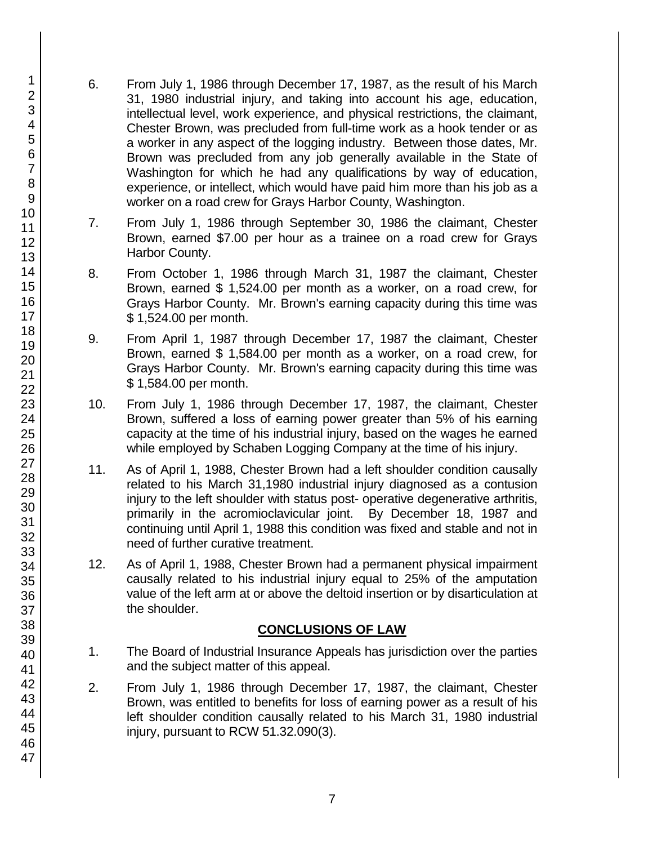- 6. From July 1, 1986 through December 17, 1987, as the result of his March 31, 1980 industrial injury, and taking into account his age, education, intellectual level, work experience, and physical restrictions, the claimant, Chester Brown, was precluded from full-time work as a hook tender or as a worker in any aspect of the logging industry. Between those dates, Mr. Brown was precluded from any job generally available in the State of Washington for which he had any qualifications by way of education, experience, or intellect, which would have paid him more than his job as a worker on a road crew for Grays Harbor County, Washington.
- 7. From July 1, 1986 through September 30, 1986 the claimant, Chester Brown, earned \$7.00 per hour as a trainee on a road crew for Grays Harbor County.
- 8. From October 1, 1986 through March 31, 1987 the claimant, Chester Brown, earned \$ 1,524.00 per month as a worker, on a road crew, for Grays Harbor County. Mr. Brown's earning capacity during this time was \$ 1,524.00 per month.
- 9. From April 1, 1987 through December 17, 1987 the claimant, Chester Brown, earned \$ 1,584.00 per month as a worker, on a road crew, for Grays Harbor County. Mr. Brown's earning capacity during this time was \$ 1,584.00 per month.
- 10. From July 1, 1986 through December 17, 1987, the claimant, Chester Brown, suffered a loss of earning power greater than 5% of his earning capacity at the time of his industrial injury, based on the wages he earned while employed by Schaben Logging Company at the time of his injury.
- 11. As of April 1, 1988, Chester Brown had a left shoulder condition causally related to his March 31,1980 industrial injury diagnosed as a contusion injury to the left shoulder with status post- operative degenerative arthritis, primarily in the acromioclavicular joint. By December 18, 1987 and continuing until April 1, 1988 this condition was fixed and stable and not in need of further curative treatment.
- 12. As of April 1, 1988, Chester Brown had a permanent physical impairment causally related to his industrial injury equal to 25% of the amputation value of the left arm at or above the deltoid insertion or by disarticulation at the shoulder.

# **CONCLUSIONS OF LAW**

- 1. The Board of Industrial Insurance Appeals has jurisdiction over the parties and the subject matter of this appeal.
- 2. From July 1, 1986 through December 17, 1987, the claimant, Chester Brown, was entitled to benefits for loss of earning power as a result of his left shoulder condition causally related to his March 31, 1980 industrial injury, pursuant to RCW 51.32.090(3).